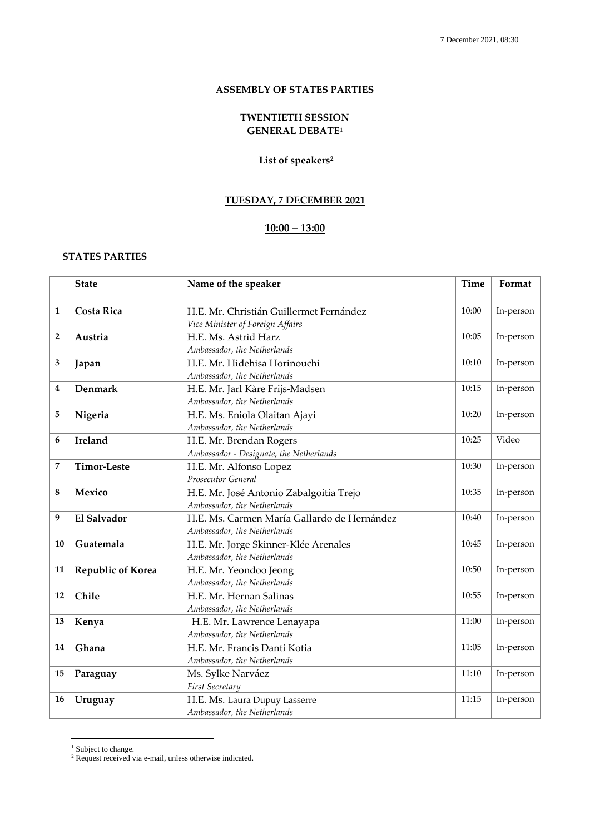#### **ASSEMBLY OF STATES PARTIES**

## **TWENTIETH SESSION GENERAL DEBATE<sup>1</sup>**

### **List of speakers<sup>2</sup>**

## **TUESDAY, 7 DECEMBER 2021**

### **10:00 – 13:00**

### **STATES PARTIES**

|                | <b>State</b>                                                                     | Name of the speaker                                                                 | Time  | Format    |
|----------------|----------------------------------------------------------------------------------|-------------------------------------------------------------------------------------|-------|-----------|
| $\mathbf{1}$   | <b>Costa Rica</b>                                                                | H.E. Mr. Christián Guillermet Fernández<br>Vice Minister of Foreign Affairs         | 10:00 | In-person |
| $\overline{2}$ | Austria                                                                          | H.E. Ms. Astrid Harz<br>Ambassador, the Netherlands                                 | 10:05 | In-person |
| 3              | Japan                                                                            | 10:10<br>H.E. Mr. Hidehisa Horinouchi<br>Ambassador, the Netherlands                |       | In-person |
| 4              | Denmark                                                                          | 10:15<br>H.E. Mr. Jarl Kåre Frijs-Madsen<br>Ambassador, the Netherlands             |       | In-person |
| 5              | Nigeria                                                                          | H.E. Ms. Eniola Olaitan Ajayi<br>Ambassador, the Netherlands                        | 10:20 | In-person |
| 6              | Ireland                                                                          | 10:25<br>H.E. Mr. Brendan Rogers<br>Ambassador - Designate, the Netherlands         |       | Video     |
| 7              | <b>Timor-Leste</b>                                                               | H.E. Mr. Alfonso Lopez<br>Prosecutor General                                        | 10:30 | In-person |
| 8              | Mexico                                                                           | H.E. Mr. José Antonio Zabalgoitia Trejo<br>Ambassador, the Netherlands              |       | In-person |
| 9              | El Salvador                                                                      | H.E. Ms. Carmen María Gallardo de Hernández<br>10:40<br>Ambassador, the Netherlands |       | In-person |
| 10             | Guatemala<br>H.E. Mr. Jorge Skinner-Klée Arenales<br>Ambassador, the Netherlands |                                                                                     | 10:45 | In-person |
| 11             | Republic of Korea<br>H.E. Mr. Yeondoo Jeong<br>Ambassador, the Netherlands       |                                                                                     | 10:50 | In-person |
| 12             | Chile                                                                            | H.E. Mr. Hernan Salinas<br>Ambassador, the Netherlands                              | 10:55 | In-person |
| 13             | Kenya                                                                            | H.E. Mr. Lawrence Lenayapa<br>Ambassador, the Netherlands                           |       | In-person |
| 14             | Ghana                                                                            | 11:05<br>H.E. Mr. Francis Danti Kotia<br>Ambassador, the Netherlands                |       | In-person |
| 15             | Paraguay                                                                         | Ms. Sylke Narváez<br>First Secretary                                                | 11:10 | In-person |
| 16             | Uruguay                                                                          | H.E. Ms. Laura Dupuy Lasserre<br>Ambassador, the Netherlands                        | 11:15 | In-person |

<sup>1</sup> Subject to change.

1

<sup>&</sup>lt;sup>2</sup> Request received via e-mail, unless otherwise indicated.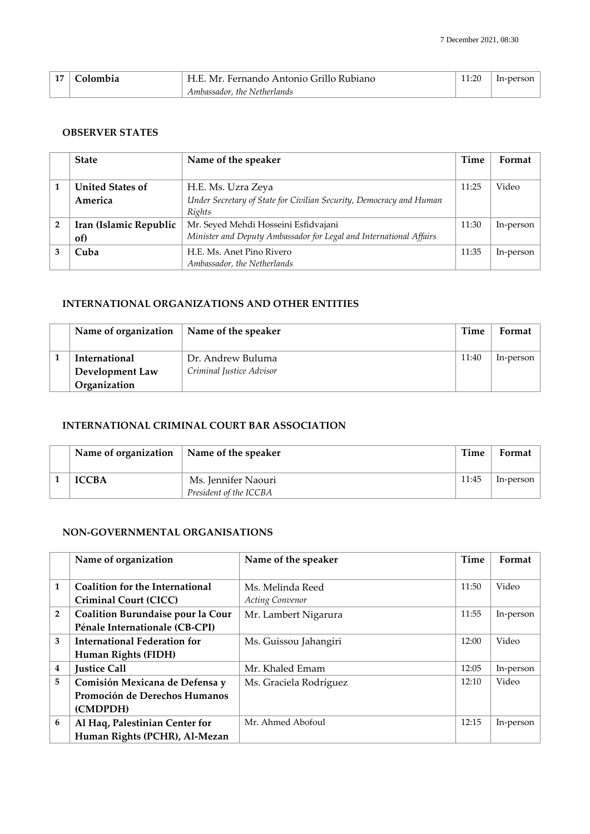| 17 <sup>1</sup><br>. . | <b>Colombia</b> | H.E. Mr. Fernando Antonio Grillo Rubiano |  | In-person |
|------------------------|-----------------|------------------------------------------|--|-----------|
|                        |                 | Ambassador, the Netherlands              |  |           |

### **OBSERVER STATES**

|                | <b>State</b>                                  | Name of the speaker                                                 | Time  | Format    |
|----------------|-----------------------------------------------|---------------------------------------------------------------------|-------|-----------|
|                |                                               |                                                                     |       |           |
|                | <b>United States of</b><br>H.E. Ms. Uzra Zeya |                                                                     | 11:25 | Video     |
|                | America                                       | Under Secretary of State for Civilian Security, Democracy and Human |       |           |
|                |                                               | Rights                                                              |       |           |
| $\overline{2}$ | Iran (Islamic Republic                        | Mr. Seyed Mehdi Hosseini Esfidvajani                                | 11:30 | In-person |
|                | of)                                           | Minister and Deputy Ambassador for Legal and International Affairs  |       |           |
| 3              | Cuba                                          | H.E. Ms. Anet Pino Rivero                                           | 11:35 | In-person |
|                |                                               | Ambassador, the Netherlands                                         |       |           |

## **INTERNATIONAL ORGANIZATIONS AND OTHER ENTITIES**

| Name of organization | Name of the speaker      | Time  | Format    |
|----------------------|--------------------------|-------|-----------|
| International        | Dr. Andrew Buluma        | 11:40 | In-person |
| Development Law      | Criminal Justice Advisor |       |           |
| Organization         |                          |       |           |

# **INTERNATIONAL CRIMINAL COURT BAR ASSOCIATION**

| Name of organization | Name of the speaker    | Time  | Format    |
|----------------------|------------------------|-------|-----------|
| <b>ICCBA</b>         | Ms. Jennifer Naouri    | 11:45 | ln-person |
|                      | President of the ICCBA |       |           |

### **NON-GOVERNMENTAL ORGANISATIONS**

|                | Name of organization                   | Name of the speaker    | Time  | Format    |
|----------------|----------------------------------------|------------------------|-------|-----------|
|                |                                        |                        |       |           |
| $\mathbf{1}$   | <b>Coalition for the International</b> | Ms. Melinda Reed       | 11:50 | Video     |
|                | Criminal Court (CICC)                  | <b>Acting Convenor</b> |       |           |
| $\overline{2}$ | Coalition Burundaise pour la Cour      | Mr. Lambert Nigarura   | 11:55 | In-person |
|                | Pénale Internationale (CB-CPI)         |                        |       |           |
| 3              | International Federation for           | Ms. Guissou Jahangiri  | 12:00 | Video     |
|                | Human Rights (FIDH)                    |                        |       |           |
| 4              | <b>Justice Call</b>                    | Mr. Khaled Emam        | 12:05 | In-person |
| 5              | Comisión Mexicana de Defensa y         | Ms. Graciela Rodríguez | 12:10 | Video     |
|                | Promoción de Derechos Humanos          |                        |       |           |
|                | (CMDPDH)                               |                        |       |           |
| 6              | Al Haq, Palestinian Center for         | Mr. Ahmed Abofoul      | 12:15 | In-person |
|                | Human Rights (PCHR), Al-Mezan          |                        |       |           |